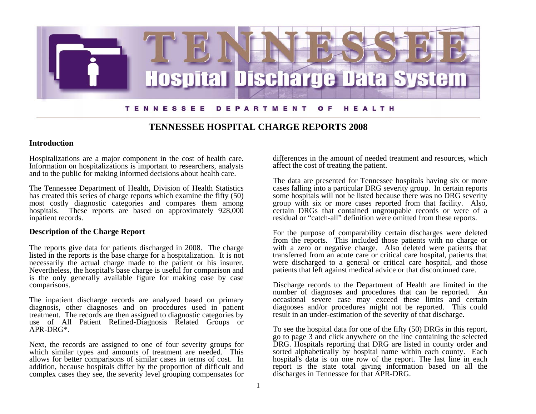

# **TENNESSEE HOSPITAL CHARGE REPORTS 2008**

### **Introduction**

Hospitalizations are a major component in the cost of health care. Information on hospitalizations is important to researchers, analysts and to the public for making informed decisions about health care.

The Tennessee Department of Health, Division of Health Statistics has created this series of charge reports which examine the fifty (50) most costly diagnostic categories and compares them among hospitals. These reports are based on approximately 928,000 inpatient records.

## **Description of the Charge Report**

The reports give data for patients discharged in 2008. The charge listed in the reports is the base charge for a hospitalization. It is not necessarily the actual charge made to the patient or his insurer. Nevertheless, the hospital's base charge is useful for comparison and is the only generally available figure for making case by case comparisons.

The inpatient discharge records are analyzed based on primary diagnosis, other diagnoses and on procedures used in patient treatment. The records are then assigned to diagnostic categories by use of All Patient Refined-Diagnosis Related Groups or APR-DRG\*.

Next, the records are assigned to one of four severity groups for which similar types and amounts of treatment are needed. This allows for better comparisons of similar cases in terms of cost. In addition, because hospitals differ by the proportion of difficult and complex cases they see, the severity level grouping compensates for

differences in the amount of needed treatment and resources, which affect the cost of treating the patient.

The data are presented for Tennessee hospitals having six or more cases falling into a particular DRG severity group. In certain reports some hospitals will not be listed because there was no DRG severity group with six or more cases reported from that facility. Also, certain DRGs that contained ungroupable records or were of a residual or "catch-all" definition were omitted from these reports.

For the purpose of comparability certain discharges were deleted from the reports. This included those patients with no charge or with a zero or negative charge. Also deleted were patients that transferred from an acute care or critical care hospital, patients that were discharged to a general or critical care hospital, and those patients that left against medical advice or that discontinued care.

Discharge records to the Department of Health are limited in the number of diagnoses and procedures that can be reported. An occasional severe case may exceed these limits and certain diagnoses and/or procedures might not be reported. This could result in an under-estimation of the severity of that discharge.

To see the hospital data for one of the fifty (50) DRGs in this report, go to page 3 and click anywhere on the line containing the selected DRG. Hospitals reporting that DRG are listed in county order and sorted alphabetically by hospital name within each county. Each hospital's data is on one row of the report. The last line in each report is the state total giving information based on all the discharges in Tennessee for that APR-DRG.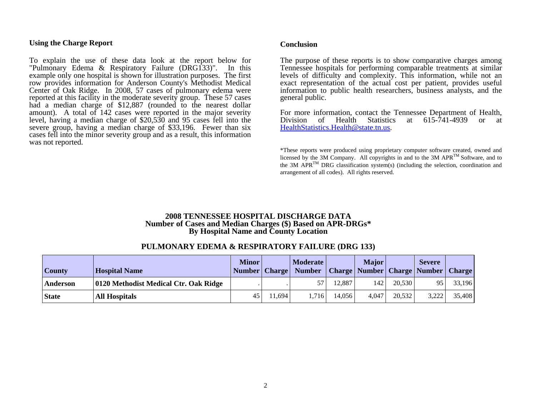### **Using the Charge Report**

To explain the use of these data look at the report below for "Pulmonary Edema & Respiratory Failure (DRG133)". In this example only one hospital is shown for illustration purposes. The first row provides information for Anderson County's Methodist Medical Center of Oak Ridge. In 2008, 57 cases of pulmonary edema were reported at this facility in the moderate severity group. These 57 cases had a median charge of \$12,887 (rounded to the nearest dollar amount). A total of 142 cases were reported in the major severity level, having a median charge of \$20,530 and 95 cases fell into the severe group, having a median charge of \$33,196. Fewer than six cases fell into the minor severity group and as a result, this information was not reported.

#### **Conclusion**

The purpose of these reports is to show comparative charges among Tennessee hospitals for performing comparable treatments at similar levels of difficulty and complexity. This information, while not an exact representation of the actual cost per patient, provides useful information to public health researchers, business analysts, and the general public.

For more information, contact the Tennessee Department of Health,<br>Division of Health Statistics at 615-741-4939 or at Division of Health Statistics at 615-741-4939 or at HealthStatistics.Health@state.tn.us[.](mailto:HealthStatistics.Health@state.tn.us) 

\*These reports were produced using proprietary computer software created, owned and licensed by the 3M Company. All copyrights in and to the 3M APR<sup>TM</sup> Software, and to the 3M APR<sup>TM</sup> DRG classification system(s) (including the selection, coordination and arrangement of all codes). All rights reserved.

#### **2008 TENNESSEE HOSPITAL DISCHARGE DATA Number of Cases and Median Charges (\$) Based on APR-DRGs\* By Hospital Name and County Location**

## **PULMONARY EDEMA & RESPIRATORY FAILURE (DRG 133)**

|               |                                       | <b>Minor</b> |        | <b>Moderate</b>          |        | <b>Major</b>                              |        | <b>Severe</b> |        |
|---------------|---------------------------------------|--------------|--------|--------------------------|--------|-------------------------------------------|--------|---------------|--------|
| <b>County</b> | <b>Hospital Name</b>                  |              |        | Number   Charge   Number |        | <b>Charge Number Charge Number Charge</b> |        |               |        |
| Anderson      | 0120 Methodist Medical Ctr. Oak Ridge |              |        |                          | 12.887 | 142                                       | 20.530 |               | 33,196 |
| <b>State</b>  | <b>All Hospitals</b>                  | 45           | 11.694 | .716                     | 14,056 | 4,047                                     | 20,532 | 3,222         | 35,408 |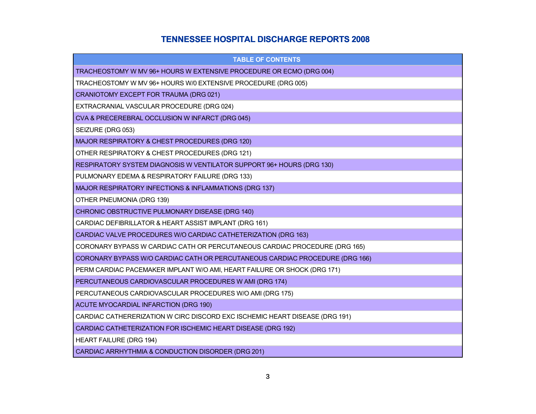# **TENNESSEE HOSPITAL DISCHARGE REPORTS 2008**

| <b>TABLE OF CONTENTS</b>                                                     |
|------------------------------------------------------------------------------|
| TRACHEOSTOMY W MV 96+ HOURS W EXTENSIVE PROCEDURE OR ECMO (DRG 004)          |
| TRACHEOSTOMY W MV 96+ HOURS W/0 EXTENSIVE PROCEDURE (DRG 005)                |
| CRANIOTOMY EXCEPT FOR TRAUMA (DRG 021)                                       |
| EXTRACRANIAL VASCULAR PROCEDURE (DRG 024)                                    |
| CVA & PRECEREBRAL OCCLUSION W INFARCT (DRG 045)                              |
| SEIZURE (DRG 053)                                                            |
| MAJOR RESPIRATORY & CHEST PROCEDURES (DRG 120)                               |
| OTHER RESPIRATORY & CHEST PROCEDURES (DRG 121)                               |
| RESPIRATORY SYSTEM DIAGNOSIS W VENTILATOR SUPPORT 96+ HOURS (DRG 130)        |
| PULMONARY EDEMA & RESPIRATORY FAILURE (DRG 133)                              |
| MAJOR RESPIRATORY INFECTIONS & INFLAMMATIONS (DRG 137)                       |
| OTHER PNEUMONIA (DRG 139)                                                    |
| CHRONIC OBSTRUCTIVE PULMONARY DISEASE (DRG 140)                              |
| CARDIAC DEFIBRILLATOR & HEART ASSIST IMPLANT (DRG 161)                       |
| CARDIAC VALVE PROCEDURES W/O CARDIAC CATHETERIZATION (DRG 163)               |
| CORONARY BYPASS W CARDIAC CATH OR PERCUTANEOUS CARDIAC PROCEDURE (DRG 165)   |
| CORONARY BYPASS W/O CARDIAC CATH OR PERCUTANEOUS CARDIAC PROCEDURE (DRG 166) |
| PERM CARDIAC PACEMAKER IMPLANT W/O AMI, HEART FAILURE OR SHOCK (DRG 171)     |
| PERCUTANEOUS CARDIOVASCULAR PROCEDURES W AMI (DRG 174)                       |
| PERCUTANEOUS CARDIOVASCULAR PROCEDURES W/O AMI (DRG 175)                     |
| ACUTE MYOCARDIAL INFARCTION (DRG 190)                                        |
| CARDIAC CATHERERIZATION W CIRC DISCORD EXC ISCHEMIC HEART DISEASE (DRG 191)  |
| CARDIAC CATHETERIZATION FOR ISCHEMIC HEART DISEASE (DRG 192)                 |
| <b>HEART FAILURE (DRG 194)</b>                                               |
| CARDIAC ARRHYTHMIA & CONDUCTION DISORDER (DRG 201)                           |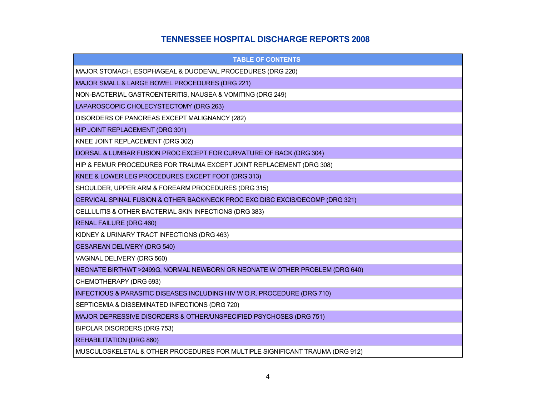# **TENNESSEE HOSPITAL DISCHARGE REPORTS 2008**

| <b>TABLE OF CONTENTS</b>                                                      |
|-------------------------------------------------------------------------------|
| MAJOR STOMACH, ESOPHAGEAL & DUODENAL PROCEDURES (DRG 220)                     |
| MAJOR SMALL & LARGE BOWEL PROCEDURES (DRG 221)                                |
| NON-BACTERIAL GASTROENTERITIS, NAUSEA & VOMITING (DRG 249)                    |
| LAPAROSCOPIC CHOLECYSTECTOMY (DRG 263)                                        |
| DISORDERS OF PANCREAS EXCEPT MALIGNANCY (282)                                 |
| HIP JOINT REPLACEMENT (DRG 301)                                               |
| KNEE JOINT REPLACEMENT (DRG 302)                                              |
| DORSAL & LUMBAR FUSION PROC EXCEPT FOR CURVATURE OF BACK (DRG 304)            |
| HIP & FEMUR PROCEDURES FOR TRAUMA EXCEPT JOINT REPLACEMENT (DRG 308)          |
| KNEE & LOWER LEG PROCEDURES EXCEPT FOOT (DRG 313)                             |
| SHOULDER, UPPER ARM & FOREARM PROCEDURES (DRG 315)                            |
| CERVICAL SPINAL FUSION & OTHER BACK/NECK PROC EXC DISC EXCIS/DECOMP (DRG 321) |
| CELLULITIS & OTHER BACTERIAL SKIN INFECTIONS (DRG 383)                        |
| <b>RENAL FAILURE (DRG 460)</b>                                                |
| KIDNEY & URINARY TRACT INFECTIONS (DRG 463)                                   |
| <b>CESAREAN DELIVERY (DRG 540)</b>                                            |
| VAGINAL DELIVERY (DRG 560)                                                    |
| NEONATE BIRTHWT >2499G, NORMAL NEWBORN OR NEONATE W OTHER PROBLEM (DRG 640)   |
| CHEMOTHERAPY (DRG 693)                                                        |
| INFECTIOUS & PARASITIC DISEASES INCLUDING HIV W O.R. PROCEDURE (DRG 710)      |
| SEPTICEMIA & DISSEMINATED INFECTIONS (DRG 720)                                |
| MAJOR DEPRESSIVE DISORDERS & OTHER/UNSPECIFIED PSYCHOSES (DRG 751)            |
| BIPOLAR DISORDERS (DRG 753)                                                   |
| <b>REHABILITATION (DRG 860)</b>                                               |
| MUSCULOSKELETAL & OTHER PROCEDURES FOR MULTIPLE SIGNIFICANT TRAUMA (DRG 912)  |